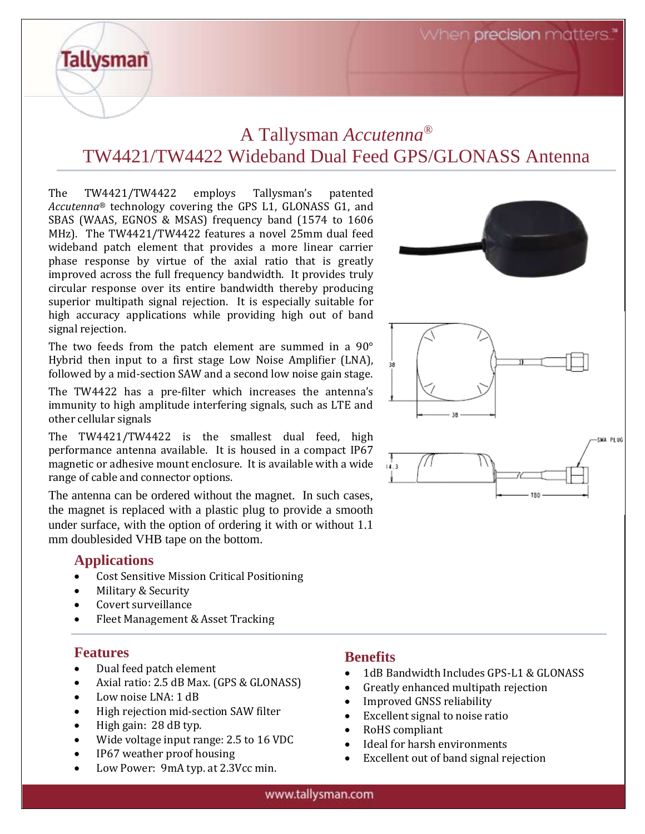When precision matters.

# A Tallysman *Accutenna®* TW4421/TW4422 Wideband Dual Feed GPS/GLONASS Antenna

The TW4421/TW4422 employs Tallysman's patented *Accutenna®* technology covering the GPS L1, GLONASS G1, and SBAS (WAAS, EGNOS & MSAS) frequency band (1574 to 1606 MHz). The TW4421/TW4422 features a novel 25mm dual feed wideband patch element that provides a more linear carrier phase response by virtue of the axial ratio that is greatly improved across the full frequency bandwidth. It provides truly circular response over its entire bandwidth thereby producing superior multipath signal rejection. It is especially suitable for high accuracy applications while providing high out of band signal rejection.

The two feeds from the patch element are summed in a 90° Hybrid then input to a first stage Low Noise Amplifier (LNA), followed by a mid-section SAW and a second low noise gain stage.

The TW4422 has a pre-filter which increases the antenna's immunity to high amplitude interfering signals, such as LTE and other cellular signals

The TW4421/TW4422 is the smallest dual feed, high performance antenna available. It is housed in a compact IP67 magnetic or adhesive mount enclosure. It is available with a wide range of cable and connector options.

The antenna can be ordered without the magnet. In such cases, the magnet is replaced with a plastic plug to provide a smooth under surface, with the option of ordering it with or without 1.1 mm doublesided VHB tape on the bottom.

## **Applications**

**Tallysman** 

- Cost Sensitive Mission Critical Positioning
- Military & Security
- Covert surveillance
- Fleet Management & Asset Tracking

### **Features**

- Dual feed patch element
- Axial ratio: 2.5 dB Max. (GPS & GLONASS)
- Low noise LNA: 1 dB
- High rejection mid-section SAW filter
- High gain: 28 dB typ.
- Wide voltage input range: 2.5 to 16 VDC
- IP67 weather proof housing
- Low Power: 9mA typ. at 2.3Vcc min.

# **Benefits**

- 1dB Bandwidth Includes GPS-L1 & GLONASS
- Greatly enhanced multipath rejection
- Improved GNSS reliability
- Excellent signal to noise ratio
- RoHS compliant
- Ideal for harsh environments
- Excellent out of band signal rejection